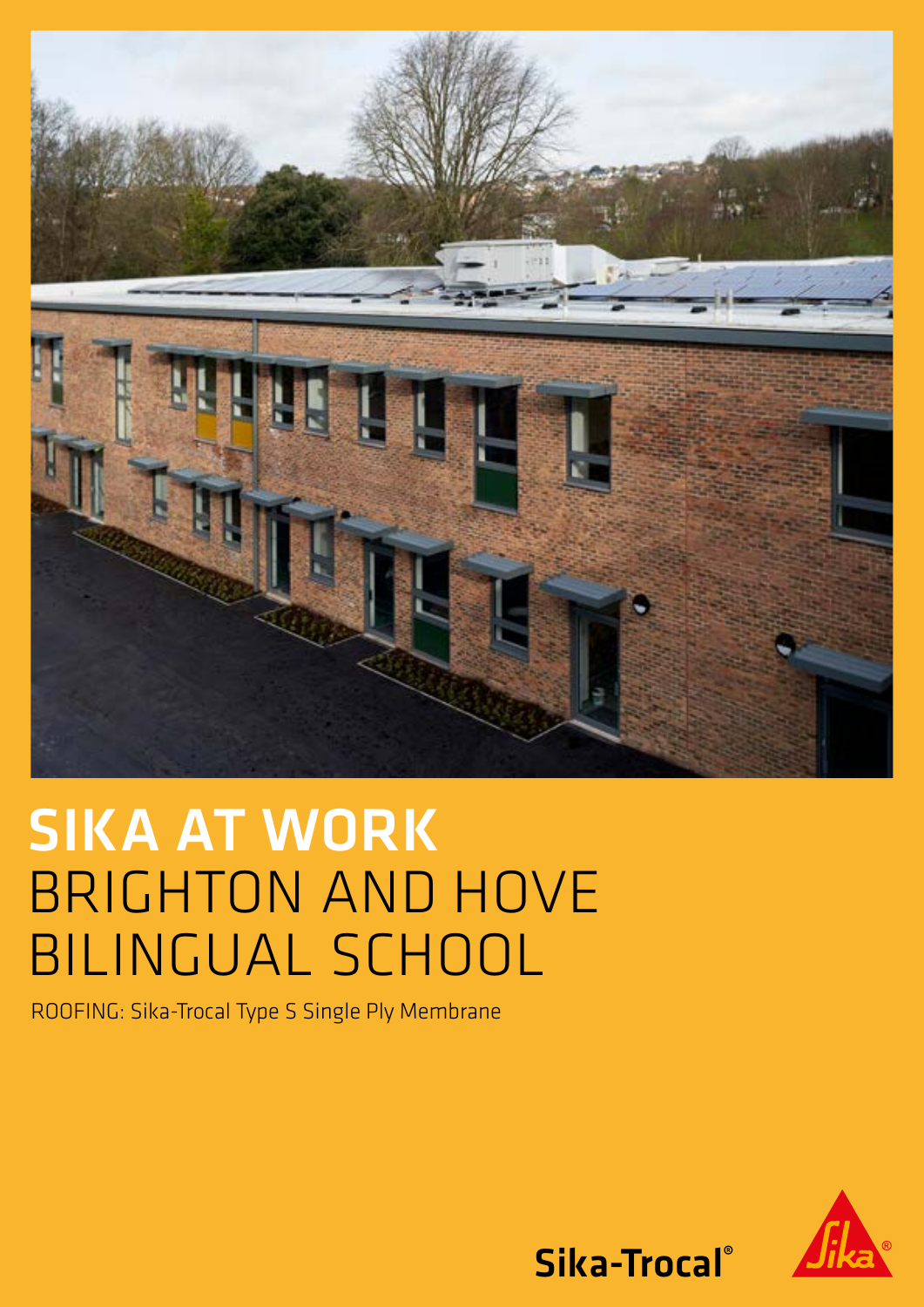

# SIKA AT WORK BRIGHTON AND HOVE BILINGUAL SCHOOL

ROOFING: Sika-Trocal Type S Single Ply Membrane



Sika-Trocal®